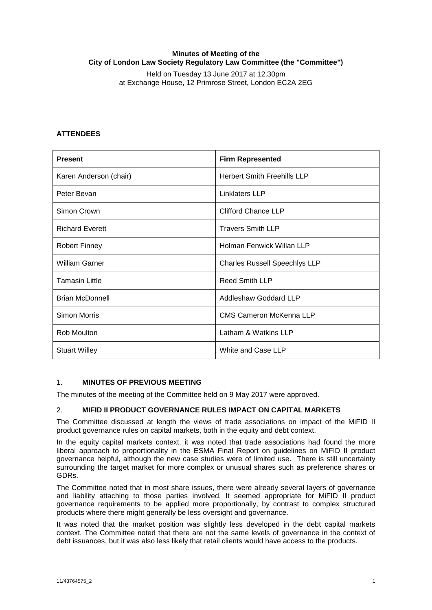## **Minutes of Meeting of the City of London Law Society Regulatory Law Committee (the "Committee")**

Held on Tuesday 13 June 2017 at 12.30pm at Exchange House, 12 Primrose Street, London EC2A 2EG

# **ATTENDEES**

| <b>Present</b>         | <b>Firm Represented</b>              |
|------------------------|--------------------------------------|
| Karen Anderson (chair) | <b>Herbert Smith Freehills LLP</b>   |
| Peter Bevan            | <b>Linklaters LLP</b>                |
| Simon Crown            | <b>Clifford Chance LLP</b>           |
| <b>Richard Everett</b> | <b>Travers Smith LLP</b>             |
| <b>Robert Finney</b>   | Holman Fenwick Willan LLP            |
| <b>William Garner</b>  | <b>Charles Russell Speechlys LLP</b> |
| <b>Tamasin Little</b>  | <b>Reed Smith LLP</b>                |
| <b>Brian McDonnell</b> | Addleshaw Goddard LLP                |
| Simon Morris           | <b>CMS Cameron McKenna LLP</b>       |
| Rob Moulton            | Latham & Watkins LLP                 |
| <b>Stuart Willey</b>   | White and Case LLP                   |

## 1. **MINUTES OF PREVIOUS MEETING**

The minutes of the meeting of the Committee held on 9 May 2017 were approved.

## 2. **MIFID II PRODUCT GOVERNANCE RULES IMPACT ON CAPITAL MARKETS**

The Committee discussed at length the views of trade associations on impact of the MiFID II product governance rules on capital markets, both in the equity and debt context.

In the equity capital markets context, it was noted that trade associations had found the more liberal approach to proportionality in the ESMA Final Report on guidelines on MiFID II product governance helpful, although the new case studies were of limited use. There is still uncertainty surrounding the target market for more complex or unusual shares such as preference shares or GDRs.

The Committee noted that in most share issues, there were already several layers of governance and liability attaching to those parties involved. It seemed appropriate for MiFID II product governance requirements to be applied more proportionally, by contrast to complex structured products where there might generally be less oversight and governance.

It was noted that the market position was slightly less developed in the debt capital markets context. The Committee noted that there are not the same levels of governance in the context of debt issuances, but it was also less likely that retail clients would have access to the products.